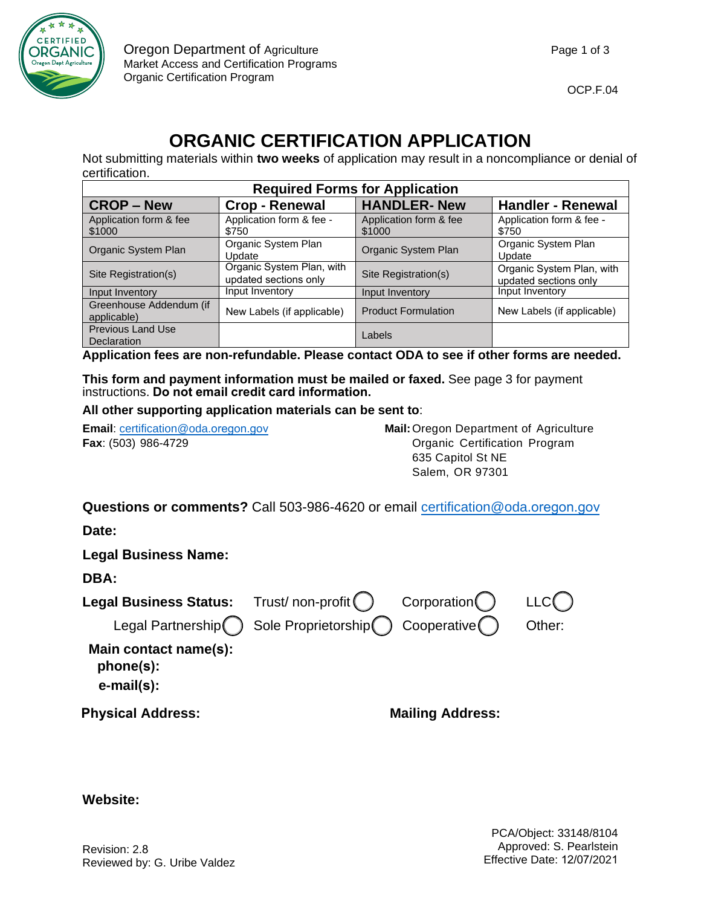

# **ORGANIC CERTIFICATION APPLICATION**

Not submitting materials within **two weeks** of application may result in a noncompliance or denial of certification.

| <b>Required Forms for Application</b>   |                                                    |                                  |                                                    |  |
|-----------------------------------------|----------------------------------------------------|----------------------------------|----------------------------------------------------|--|
| <b>CROP-New</b>                         | <b>Crop - Renewal</b>                              | <b>HANDLER-New</b>               | <b>Handler - Renewal</b>                           |  |
| Application form & fee<br>\$1000        | Application form & fee -<br>\$750                  | Application form & fee<br>\$1000 | Application form & fee -<br>\$750                  |  |
| Organic System Plan                     | Organic System Plan<br>Update                      | Organic System Plan              | Organic System Plan<br>Update                      |  |
| Site Registration(s)                    | Organic System Plan, with<br>updated sections only | Site Registration(s)             | Organic System Plan, with<br>updated sections only |  |
| Input Inventory                         | Input Inventory                                    | Input Inventory                  | Input Inventory                                    |  |
| Greenhouse Addendum (if<br>applicable)  | New Labels (if applicable)                         | <b>Product Formulation</b>       | New Labels (if applicable)                         |  |
| <b>Previous Land Use</b><br>Declaration |                                                    | Labels                           |                                                    |  |

**Application fees are non-refundable. Please contact ODA to see if other forms are needed.** 

**This form and payment information must be mailed or faxed.** See page 3 for payment instructions. **Do not email credit card information.**

**All other supporting application materials can be sent to**:

**Email: certification @oda.oregon.gov <b>Mail: Oregon Department of Agriculture Fax**: (503) 986-4729 Organic Certification Program 635 Capitol St NE Salem, OR 97301

**Questions or comments?** Call 503-986-4620 or email [certification@oda.](mailto:certification@oda.oregon.gov)oregon.gov

**Date:** 

**Legal Business Name:** LLC Other: Trust/ non-profit () Corporation Sole Proprietorship Cooperative **DBA: Legal Business Status:**  Legal Partnership **Main contact name(s): phone(s): e-mail(s): Mailing Address: Physical Address:**

**Website:**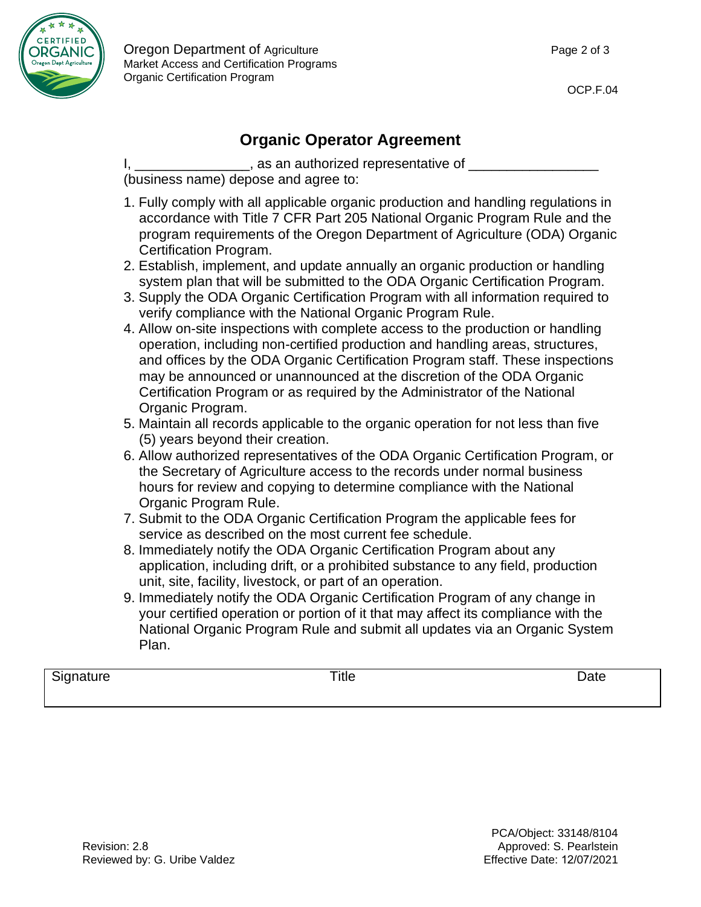

# **Organic Operator Agreement**

I, \_\_\_\_\_\_\_\_\_\_\_\_\_\_\_\_, as an authorized representative of \_\_\_\_

(business name) depose and agree to:

- 1. Fully comply with all applicable organic production and handling regulations in accordance with Title 7 CFR Part 205 National Organic Program Rule and the program requirements of the Oregon Department of Agriculture (ODA) Organic Certification Program.
- 2. Establish, implement, and update annually an organic production or handling system plan that will be submitted to the ODA Organic Certification Program.
- 3. Supply the ODA Organic Certification Program with all information required to verify compliance with the National Organic Program Rule.
- 4. Allow on-site inspections with complete access to the production or handling operation, including non-certified production and handling areas, structures, and offices by the ODA Organic Certification Program staff. These inspections may be announced or unannounced at the discretion of the ODA Organic Certification Program or as required by the Administrator of the National Organic Program.
- 5. Maintain all records applicable to the organic operation for not less than five (5) years beyond their creation.
- 6. Allow authorized representatives of the ODA Organic Certification Program, or the Secretary of Agriculture access to the records under normal business hours for review and copying to determine compliance with the National Organic Program Rule.
- 7. Submit to the ODA Organic Certification Program the applicable fees for service as described on the most current fee schedule.
- 8. Immediately notify the ODA Organic Certification Program about any application, including drift, or a prohibited substance to any field, production unit, site, facility, livestock, or part of an operation.
- 9. Immediately notify the ODA Organic Certification Program of any change in your certified operation or portion of it that may affect its compliance with the National Organic Program Rule and submit all updates via an Organic System Plan.

Signature Title Date